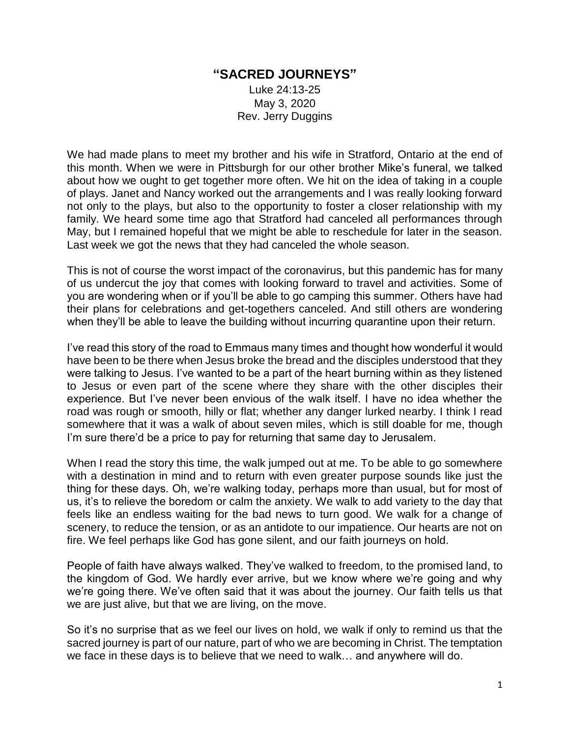## **"SACRED JOURNEYS"**

Luke 24:13-25 May 3, 2020 Rev. Jerry Duggins

We had made plans to meet my brother and his wife in Stratford, Ontario at the end of this month. When we were in Pittsburgh for our other brother Mike's funeral, we talked about how we ought to get together more often. We hit on the idea of taking in a couple of plays. Janet and Nancy worked out the arrangements and I was really looking forward not only to the plays, but also to the opportunity to foster a closer relationship with my family. We heard some time ago that Stratford had canceled all performances through May, but I remained hopeful that we might be able to reschedule for later in the season. Last week we got the news that they had canceled the whole season.

This is not of course the worst impact of the coronavirus, but this pandemic has for many of us undercut the joy that comes with looking forward to travel and activities. Some of you are wondering when or if you'll be able to go camping this summer. Others have had their plans for celebrations and get-togethers canceled. And still others are wondering when they'll be able to leave the building without incurring quarantine upon their return.

I've read this story of the road to Emmaus many times and thought how wonderful it would have been to be there when Jesus broke the bread and the disciples understood that they were talking to Jesus. I've wanted to be a part of the heart burning within as they listened to Jesus or even part of the scene where they share with the other disciples their experience. But I've never been envious of the walk itself. I have no idea whether the road was rough or smooth, hilly or flat; whether any danger lurked nearby. I think I read somewhere that it was a walk of about seven miles, which is still doable for me, though I'm sure there'd be a price to pay for returning that same day to Jerusalem.

When I read the story this time, the walk jumped out at me. To be able to go somewhere with a destination in mind and to return with even greater purpose sounds like just the thing for these days. Oh, we're walking today, perhaps more than usual, but for most of us, it's to relieve the boredom or calm the anxiety. We walk to add variety to the day that feels like an endless waiting for the bad news to turn good. We walk for a change of scenery, to reduce the tension, or as an antidote to our impatience. Our hearts are not on fire. We feel perhaps like God has gone silent, and our faith journeys on hold.

People of faith have always walked. They've walked to freedom, to the promised land, to the kingdom of God. We hardly ever arrive, but we know where we're going and why we're going there. We've often said that it was about the journey. Our faith tells us that we are just alive, but that we are living, on the move.

So it's no surprise that as we feel our lives on hold, we walk if only to remind us that the sacred journey is part of our nature, part of who we are becoming in Christ. The temptation we face in these days is to believe that we need to walk… and anywhere will do.